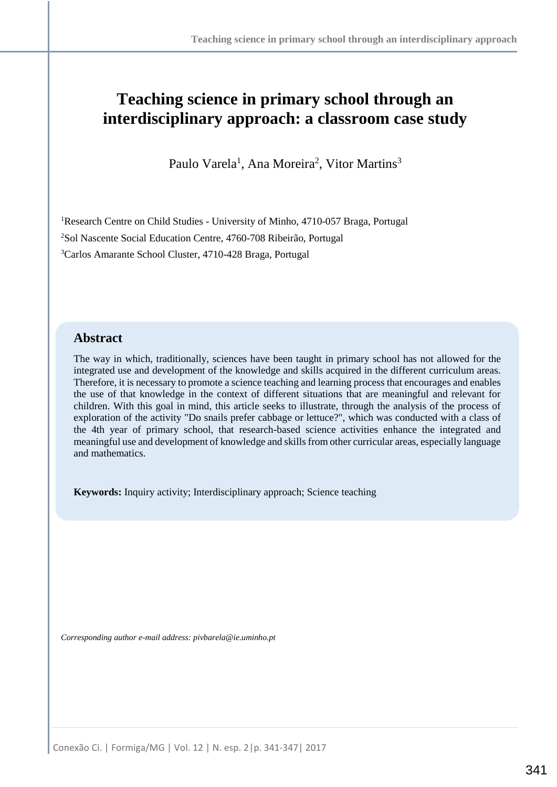# **Teaching science in primary school through an interdisciplinary approach: a classroom case study**

Paulo Varela<sup>1</sup>, Ana Moreira<sup>2</sup>, Vitor Martins<sup>3</sup>

<sup>1</sup>Research Centre on Child Studies - University of Minho, 4710-057 Braga, Portugal <sup>2</sup>Sol Nascente Social Education Centre, 4760-708 Ribeirão, Portugal <sup>3</sup>Carlos Amarante School Cluster, 4710-428 Braga, Portugal

## **Abstract**

The way in which, traditionally, sciences have been taught in primary school has not allowed for the integrated use and development of the knowledge and skills acquired in the different curriculum areas. Therefore, it is necessary to promote a science teaching and learning process that encourages and enables the use of that knowledge in the context of different situations that are meaningful and relevant for children. With this goal in mind, this article seeks to illustrate, through the analysis of the process of exploration of the activity "Do snails prefer cabbage or lettuce?", which was conducted with a class of the 4th year of primary school, that research-based science activities enhance the integrated and meaningful use and development of knowledge and skills from other curricular areas, especially language and mathematics.

**Keywords:** Inquiry activity; Interdisciplinary approach; Science teaching

*Corresponding author e-mail address: pivbarela@ie.uminho.pt*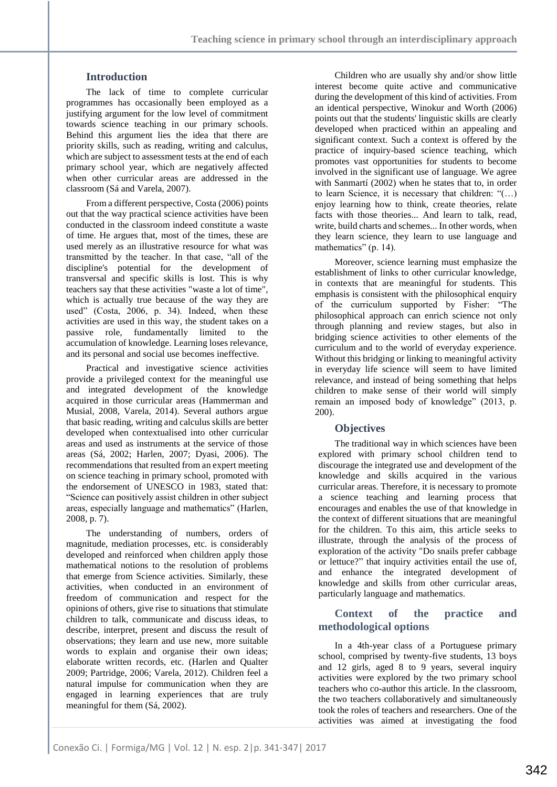## **Introduction**

The lack of time to complete curricular programmes has occasionally been employed as a justifying argument for the low level of commitment towards science teaching in our primary schools. Behind this argument lies the idea that there are priority skills, such as reading, writing and calculus, which are subject to assessment tests at the end of each primary school year, which are negatively affected when other curricular areas are addressed in the classroom (Sá and Varela, 2007).

From a different perspective, Costa (2006) points out that the way practical science activities have been conducted in the classroom indeed constitute a waste of time. He argues that, most of the times, these are used merely as an illustrative resource for what was transmitted by the teacher. In that case, "all of the discipline's potential for the development of transversal and specific skills is lost. This is why teachers say that these activities "waste a lot of time", which is actually true because of the way they are used" (Costa, 2006, p. 34). Indeed, when these activities are used in this way, the student takes on a passive role, fundamentally limited to the accumulation of knowledge. Learning loses relevance, and its personal and social use becomes ineffective.

Practical and investigative science activities provide a privileged context for the meaningful use and integrated development of the knowledge acquired in those curricular areas (Hammerman and Musial, 2008, Varela, 2014). Several authors argue that basic reading, writing and calculus skills are better developed when contextualised into other curricular areas and used as instruments at the service of those areas (Sá, 2002; Harlen, 2007; Dyasi, 2006). The recommendations that resulted from an expert meeting on science teaching in primary school, promoted with the endorsement of UNESCO in 1983, stated that: "Science can positively assist children in other subject areas, especially language and mathematics" (Harlen, 2008, p. 7).

The understanding of numbers, orders of magnitude, mediation processes, etc. is considerably developed and reinforced when children apply those mathematical notions to the resolution of problems that emerge from Science activities. Similarly, these activities, when conducted in an environment of freedom of communication and respect for the opinions of others, give rise to situations that stimulate children to talk, communicate and discuss ideas, to describe, interpret, present and discuss the result of observations; they learn and use new, more suitable words to explain and organise their own ideas; elaborate written records, etc. (Harlen and Qualter 2009; Partridge, 2006; Varela, 2012). Children feel a natural impulse for communication when they are engaged in learning experiences that are truly meaningful for them (Sá, 2002).

Children who are usually shy and/or show little interest become quite active and communicative during the development of this kind of activities. From an identical perspective, Winokur and Worth (2006) points out that the students' linguistic skills are clearly developed when practiced within an appealing and significant context. Such a context is offered by the practice of inquiry-based science teaching, which promotes vast opportunities for students to become involved in the significant use of language. We agree with Sanmartí (2002) when he states that to, in order to learn Science, it is necessary that children: "(…) enjoy learning how to think, create theories, relate facts with those theories... And learn to talk, read, write, build charts and schemes... In other words, when they learn science, they learn to use language and mathematics" (p. 14).

Moreover, science learning must emphasize the establishment of links to other curricular knowledge, in contexts that are meaningful for students. This emphasis is consistent with the philosophical enquiry of the curriculum supported by Fisher: "The philosophical approach can enrich science not only through planning and review stages, but also in bridging science activities to other elements of the curriculum and to the world of everyday experience. Without this bridging or linking to meaningful activity in everyday life science will seem to have limited relevance, and instead of being something that helps children to make sense of their world will simply remain an imposed body of knowledge" (2013, p. 200).

#### **Objectives**

The traditional way in which sciences have been explored with primary school children tend to discourage the integrated use and development of the knowledge and skills acquired in the various curricular areas. Therefore, it is necessary to promote a science teaching and learning process that encourages and enables the use of that knowledge in the context of different situations that are meaningful for the children. To this aim, this article seeks to illustrate, through the analysis of the process of exploration of the activity "Do snails prefer cabbage or lettuce?" that inquiry activities entail the use of, and enhance the integrated development of knowledge and skills from other curricular areas, particularly language and mathematics.

## **Context of the practice and methodological options**

In a 4th-year class of a Portuguese primary school, comprised by twenty-five students, 13 boys and 12 girls, aged 8 to 9 years, several inquiry activities were explored by the two primary school teachers who co-author this article. In the classroom, the two teachers collaboratively and simultaneously took the roles of teachers and researchers. One of the activities was aimed at investigating the food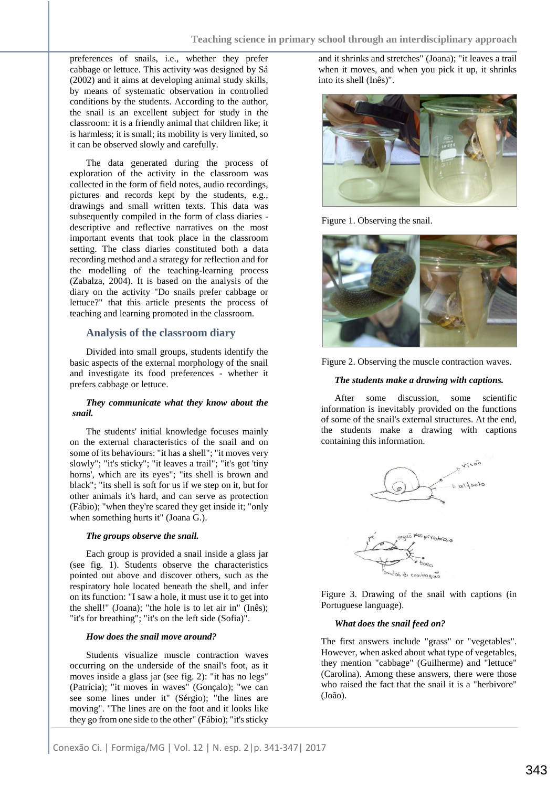preferences of snails, i.e., whether they prefer cabbage or lettuce. This activity was designed by Sá (2002) and it aims at developing animal study skills, by means of systematic observation in controlled conditions by the students. According to the author, the snail is an excellent subject for study in the classroom: it is a friendly animal that children like; it is harmless; it is small; its mobility is very limited, so it can be observed slowly and carefully.

The data generated during the process of exploration of the activity in the classroom was collected in the form of field notes, audio recordings, pictures and records kept by the students, e.g., drawings and small written texts. This data was subsequently compiled in the form of class diaries descriptive and reflective narratives on the most important events that took place in the classroom setting. The class diaries constituted both a data recording method and a strategy for reflection and for the modelling of the teaching-learning process (Zabalza, 2004). It is based on the analysis of the diary on the activity "Do snails prefer cabbage or lettuce?" that this article presents the process of teaching and learning promoted in the classroom.

#### **Analysis of the classroom diary**

Divided into small groups, students identify the basic aspects of the external morphology of the snail and investigate its food preferences - whether it prefers cabbage or lettuce.

#### *They communicate what they know about the snail.*

The students' initial knowledge focuses mainly on the external characteristics of the snail and on some of its behaviours: "it has a shell"; "it moves very slowly"; "it's sticky"; "it leaves a trail"; "it's got 'tiny horns', which are its eyes"; "its shell is brown and black"; "its shell is soft for us if we step on it, but for other animals it's hard, and can serve as protection (Fábio); "when they're scared they get inside it; "only when something hurts it" (Joana G.).

#### *The groups observe the snail.*

Each group is provided a snail inside a glass jar (see fig. 1). Students observe the characteristics pointed out above and discover others, such as the respiratory hole located beneath the shell, and infer on its function: "I saw a hole, it must use it to get into the shell!" (Joana); "the hole is to let air in" (Inês); "it's for breathing"; "it's on the left side (Sofia)".

#### *How does the snail move around?*

Students visualize muscle contraction waves occurring on the underside of the snail's foot, as it moves inside a glass jar (see fig. 2): "it has no legs" (Patrícia); "it moves in waves" (Gonçalo); "we can see some lines under it" (Sérgio); "the lines are moving". "The lines are on the foot and it looks like they go from one side to the other" (Fábio); "it's sticky and it shrinks and stretches" (Joana); "it leaves a trail when it moves, and when you pick it up, it shrinks into its shell (Inês)".



Figure 1. Observing the snail.





#### *The students make a drawing with captions.*

After some discussion, some scientific information is inevitably provided on the functions of some of the snail's external structures. At the end, the students make a drawing with captions containing this information.



Figure 3. Drawing of the snail with captions (in Portuguese language).

#### *What does the snail feed on?*

The first answers include "grass" or "vegetables". However, when asked about what type of vegetables, they mention "cabbage" (Guilherme) and "lettuce" (Carolina). Among these answers, there were those who raised the fact that the snail it is a "herbivore" (João).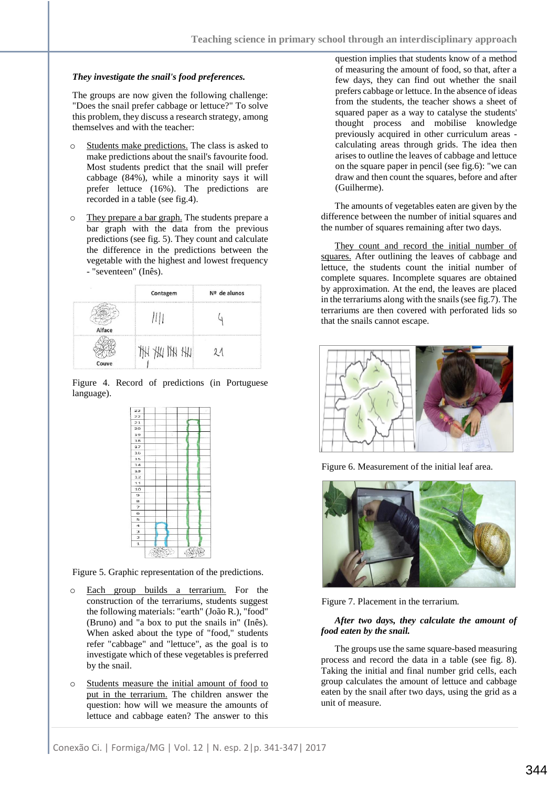#### *They investigate the snail's food preferences.*

The groups are now given the following challenge: "Does the snail prefer cabbage or lettuce?" To solve this problem, they discuss a research strategy, among themselves and with the teacher:

- Students make predictions. The class is asked to make predictions about the snail's favourite food. Most students predict that the snail will prefer cabbage (84%), while a minority says it will prefer lettuce (16%). The predictions are recorded in a table (see fig.4).
- o They prepare a bar graph. The students prepare a bar graph with the data from the previous predictions (see fig. 5). They count and calculate the difference in the predictions between the vegetable with the highest and lowest frequency - "seventeen" (Inês).

| ×      | Contagem   | Nº de alunos |  |
|--------|------------|--------------|--|
| Alface |            |              |  |
| Couve  | ×<br>IN YH |              |  |

Figure 4. Record of predictions (in Portuguese language).



Figure 5. Graphic representation of the predictions.

- o Each group builds a terrarium. For the construction of the terrariums, students suggest the following materials: "earth" (João R.), "food" (Bruno) and "a box to put the snails in" (Inês). When asked about the type of "food," students refer "cabbage" and "lettuce", as the goal is to investigate which of these vegetables is preferred by the snail.
- o Students measure the initial amount of food to put in the terrarium. The children answer the question: how will we measure the amounts of lettuce and cabbage eaten? The answer to this

question implies that students know of a method of measuring the amount of food, so that, after a few days, they can find out whether the snail prefers cabbage or lettuce. In the absence of ideas from the students, the teacher shows a sheet of squared paper as a way to catalyse the students' thought process and mobilise knowledge previously acquired in other curriculum areas calculating areas through grids. The idea then arises to outline the leaves of cabbage and lettuce on the square paper in pencil (see fig.6): "we can draw and then count the squares, before and after (Guilherme).

The amounts of vegetables eaten are given by the difference between the number of initial squares and the number of squares remaining after two days.

They count and record the initial number of squares. After outlining the leaves of cabbage and lettuce, the students count the initial number of complete squares. Incomplete squares are obtained by approximation. At the end, the leaves are placed in the terrariums along with the snails (see fig.7). The terrariums are then covered with perforated lids so that the snails cannot escape.



Figure 6. Measurement of the initial leaf area.



Figure 7. Placement in the terrarium.

#### *After two days, they calculate the amount of food eaten by the snail.*

The groups use the same square-based measuring process and record the data in a table (see fig. 8). Taking the initial and final number grid cells, each group calculates the amount of lettuce and cabbage eaten by the snail after two days, using the grid as a unit of measure.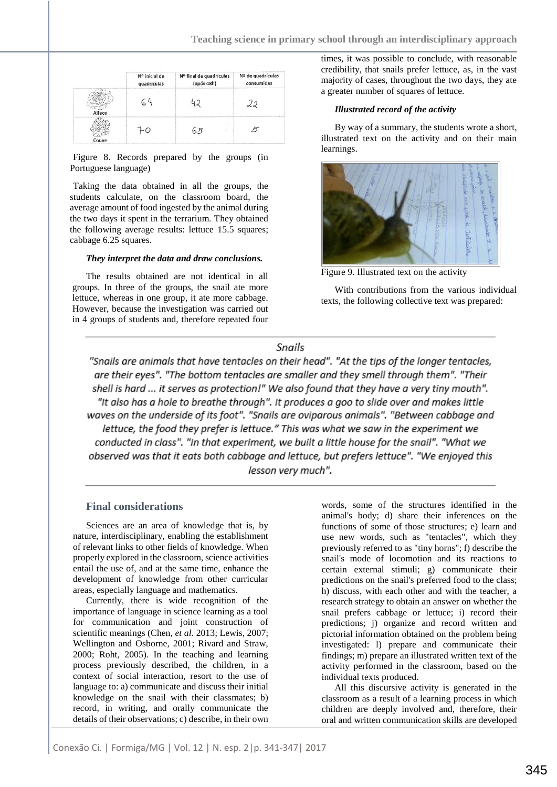|        | Nº inicial de<br>quadrículas | Nº final de quadrículas<br>(após 48h) | Nº de quadrículas<br>consumidas |
|--------|------------------------------|---------------------------------------|---------------------------------|
| Alface |                              |                                       |                                 |
| Couve  |                              | . 片                                   |                                 |

Figure 8. Records prepared by the groups (in Portuguese language)

Taking the data obtained in all the groups, the students calculate, on the classroom board, the average amount of food ingested by the animal during the two days it spent in the terrarium. They obtained the following average results: lettuce 15.5 squares; cabbage 6.25 squares.

#### *They interpret the data and draw conclusions.*

The results obtained are not identical in all groups. In three of the groups, the snail ate more lettuce, whereas in one group, it ate more cabbage. However, because the investigation was carried out in 4 groups of students and, therefore repeated four times, it was possible to conclude, with reasonable credibility, that snails prefer lettuce, as, in the vast majority of cases, throughout the two days, they ate a greater number of squares of lettuce.

#### *Illustrated record of the activity*

By way of a summary, the students wrote a short, illustrated text on the activity and on their main learnings.



Figure 9. Illustrated text on the activity

With contributions from the various individual texts, the following collective text was prepared:

## Snails

"Snails are animals that have tentacles on their head". "At the tips of the longer tentacles, are their eyes". "The bottom tentacles are smaller and they smell through them". "Their shell is hard ... it serves as protection!" We also found that they have a very tiny mouth". "It also has a hole to breathe through". It produces a goo to slide over and makes little waves on the underside of its foot". "Snails are oviparous animals". "Between cabbage and lettuce, the food they prefer is lettuce." This was what we saw in the experiment we conducted in class". "In that experiment, we built a little house for the snail". "What we observed was that it eats both cabbage and lettuce, but prefers lettuce". "We enjoyed this lesson very much".

#### **Final considerations**

Sciences are an area of knowledge that is, by nature, interdisciplinary, enabling the establishment of relevant links to other fields of knowledge. When properly explored in the classroom, science activities entail the use of, and at the same time, enhance the development of knowledge from other curricular areas, especially language and mathematics.

Currently, there is wide recognition of the importance of language in science learning as a tool for communication and joint construction of scientific meanings (Chen, *et al*. 2013; Lewis, 2007; Wellington and Osborne, 2001; Rivard and Straw, 2000; Roht, 2005). In the teaching and learning process previously described, the children, in a context of social interaction, resort to the use of language to: a) communicate and discuss their initial knowledge on the snail with their classmates; b) record, in writing, and orally communicate the details of their observations; c) describe, in their own

words, some of the structures identified in the animal's body; d) share their inferences on the functions of some of those structures; e) learn and use new words, such as "tentacles", which they previously referred to as "tiny horns"; f) describe the snail's mode of locomotion and its reactions to certain external stimuli; g) communicate their predictions on the snail's preferred food to the class; h) discuss, with each other and with the teacher, a research strategy to obtain an answer on whether the snail prefers cabbage or lettuce; i) record their predictions; j) organize and record written and pictorial information obtained on the problem being investigated: l) prepare and communicate their findings; m) prepare an illustrated written text of the activity performed in the classroom, based on the individual texts produced.

All this discursive activity is generated in the classroom as a result of a learning process in which children are deeply involved and, therefore, their oral and written communication skills are developed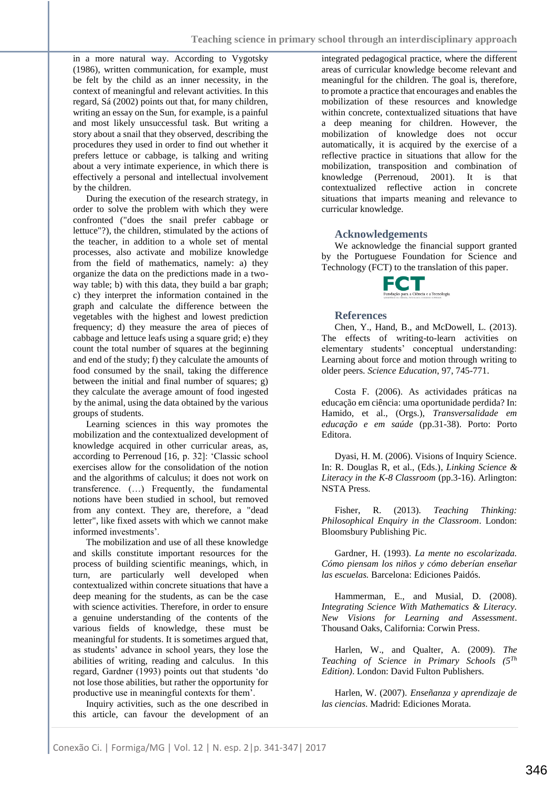in a more natural way. According to Vygotsky (1986), written communication, for example, must be felt by the child as an inner necessity, in the context of meaningful and relevant activities. In this regard, Sá (2002) points out that, for many children, writing an essay on the Sun, for example, is a painful and most likely unsuccessful task. But writing a story about a snail that they observed, describing the procedures they used in order to find out whether it prefers lettuce or cabbage, is talking and writing about a very intimate experience, in which there is effectively a personal and intellectual involvement by the children.

During the execution of the research strategy, in order to solve the problem with which they were confronted ("does the snail prefer cabbage or lettuce"?), the children, stimulated by the actions of the teacher, in addition to a whole set of mental processes, also activate and mobilize knowledge from the field of mathematics, namely: a) they organize the data on the predictions made in a twoway table; b) with this data, they build a bar graph; c) they interpret the information contained in the graph and calculate the difference between the vegetables with the highest and lowest prediction frequency; d) they measure the area of pieces of cabbage and lettuce leafs using a square grid; e) they count the total number of squares at the beginning and end of the study; f) they calculate the amounts of food consumed by the snail, taking the difference between the initial and final number of squares; g) they calculate the average amount of food ingested by the animal, using the data obtained by the various groups of students.

Learning sciences in this way promotes the mobilization and the contextualized development of knowledge acquired in other curricular areas, as, according to Perrenoud [16, p. 32]: 'Classic school exercises allow for the consolidation of the notion and the algorithms of calculus; it does not work on transference. (…) Frequently, the fundamental notions have been studied in school, but removed from any context. They are, therefore, a "dead letter", like fixed assets with which we cannot make informed investments'.

The mobilization and use of all these knowledge and skills constitute important resources for the process of building scientific meanings, which, in turn, are particularly well developed when contextualized within concrete situations that have a deep meaning for the students, as can be the case with science activities. Therefore, in order to ensure a genuine understanding of the contents of the various fields of knowledge, these must be meaningful for students. It is sometimes argued that, as students' advance in school years, they lose the abilities of writing, reading and calculus. In this regard, Gardner (1993) points out that students 'do not lose those abilities, but rather the opportunity for productive use in meaningful contexts for them'.

Inquiry activities, such as the one described in this article, can favour the development of an

integrated pedagogical practice, where the different areas of curricular knowledge become relevant and meaningful for the children. The goal is, therefore, to promote a practice that encourages and enables the mobilization of these resources and knowledge within concrete, contextualized situations that have a deep meaning for children. However, the mobilization of knowledge does not occur automatically, it is acquired by the exercise of a reflective practice in situations that allow for the mobilization, transposition and combination of knowledge (Perrenoud, 2001). It is that contextualized reflective action in concrete situations that imparts meaning and relevance to curricular knowledge.

#### **Acknowledgements**

We acknowledge the financial support granted by the Portuguese Foundation for Science and Technology (FCT) to the translation of this paper.



#### **References**

Chen, Y., Hand, B., and McDowell, L. (2013). The effects of writing-to-learn activities on elementary students' conceptual understanding: Learning about force and motion through writing to older peers. *Science Education*, 97, 745-771.

Costa F. (2006). As actividades práticas na educação em ciência: uma oportunidade perdida? In: Hamido, et al., (Orgs.), *Transversalidade em educação e em saúde* (pp.31-38). Porto: Porto Editora.

Dyasi, H. M. (2006). Visions of Inquiry Science. In: R. Douglas R, et al., (Eds.), *Linking Science & Literacy in the K-8 Classroom* (pp.3-16). Arlington: NSTA Press.

Fisher, R. (2013). *Teaching Thinking: Philosophical Enquiry in the Classroom*. London: Bloomsbury Publishing Pic.

Gardner, H. (1993). *La mente no escolarizada. Cómo piensam los niños y cómo deberían enseñar las escuelas.* Barcelona: Ediciones Paidós.

Hammerman, E., and Musial, D. (2008). *Integrating Science With Mathematics & Literacy. New Visions for Learning and Assessment*. Thousand Oaks, California: Corwin Press.

Harlen, W., and Qualter, A. (2009). *The Teaching of Science in Primary Schools (5Th Edition)*. London: David Fulton Publishers.

Harlen, W. (2007). *Enseñanza y aprendizaje de las ciencias*. Madrid: Ediciones Morata.